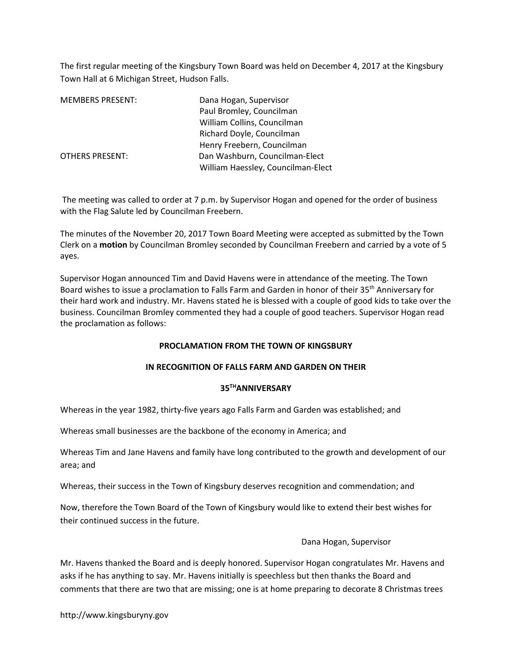The first regular meeting of the Kingsbury Town Board was held on December 4, 2017 at the Kingsbury Town Hall at 6 Michigan Street, Hudson Falls.

| <b>MEMBERS PRESENT:</b> | Dana Hogan, Supervisor             |
|-------------------------|------------------------------------|
|                         | Paul Bromley, Councilman           |
|                         | William Collins, Councilman        |
|                         | Richard Doyle, Councilman          |
|                         | Henry Freebern, Councilman         |
| <b>OTHERS PRESENT:</b>  | Dan Washburn, Councilman-Elect     |
|                         | William Haessley, Councilman-Elect |

 The meeting was called to order at 7 p.m. by Supervisor Hogan and opened for the order of business with the Flag Salute led by Councilman Freebern.

The minutes of the November 20, 2017 Town Board Meeting were accepted as submitted by the Town Clerk on a motion by Councilman Bromley seconded by Councilman Freebern and carried by a vote of 5 ayes.

Supervisor Hogan announced Tim and David Havens were in attendance of the meeting. The Town Board wishes to issue a proclamation to Falls Farm and Garden in honor of their 35<sup>th</sup> Anniversary for their hard work and industry. Mr. Havens stated he is blessed with a couple of good kids to take over the business. Councilman Bromley commented they had a couple of good teachers. Supervisor Hogan read the proclamation as follows:

# PROCLAMATION FROM THE TOWN OF KINGSBURY

# IN RECOGNITION OF FALLS FARM AND GARDEN ON THEIR

# 35THANNIVERSARY

Whereas in the year 1982, thirty-five years ago Falls Farm and Garden was established; and

Whereas small businesses are the backbone of the economy in America; and

Whereas Tim and Jane Havens and family have long contributed to the growth and development of our area; and

Whereas, their success in the Town of Kingsbury deserves recognition and commendation; and

Now, therefore the Town Board of the Town of Kingsbury would like to extend their best wishes for their continued success in the future.

# Dana Hogan, Supervisor

Mr. Havens thanked the Board and is deeply honored. Supervisor Hogan congratulates Mr. Havens and asks if he has anything to say. Mr. Havens initially is speechless but then thanks the Board and comments that there are two that are missing; one is at home preparing to decorate 8 Christmas trees

http://www.kingsburyny.gov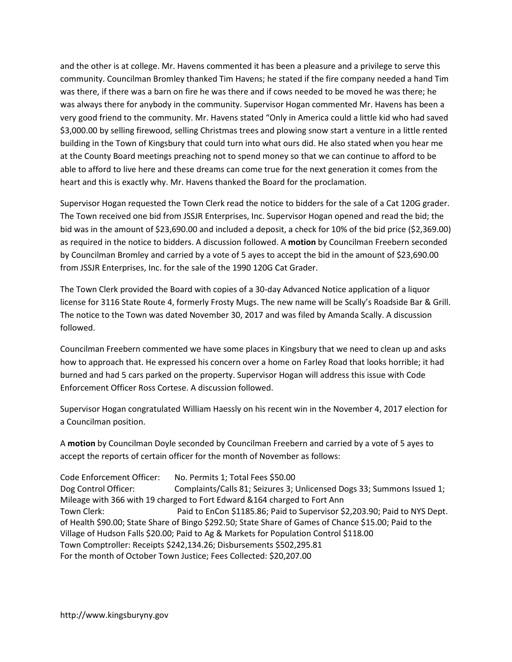and the other is at college. Mr. Havens commented it has been a pleasure and a privilege to serve this community. Councilman Bromley thanked Tim Havens; he stated if the fire company needed a hand Tim was there, if there was a barn on fire he was there and if cows needed to be moved he was there; he was always there for anybody in the community. Supervisor Hogan commented Mr. Havens has been a very good friend to the community. Mr. Havens stated "Only in America could a little kid who had saved \$3,000.00 by selling firewood, selling Christmas trees and plowing snow start a venture in a little rented building in the Town of Kingsbury that could turn into what ours did. He also stated when you hear me at the County Board meetings preaching not to spend money so that we can continue to afford to be able to afford to live here and these dreams can come true for the next generation it comes from the heart and this is exactly why. Mr. Havens thanked the Board for the proclamation.

Supervisor Hogan requested the Town Clerk read the notice to bidders for the sale of a Cat 120G grader. The Town received one bid from JSSJR Enterprises, Inc. Supervisor Hogan opened and read the bid; the bid was in the amount of \$23,690.00 and included a deposit, a check for 10% of the bid price (\$2,369.00) as required in the notice to bidders. A discussion followed. A motion by Councilman Freebern seconded by Councilman Bromley and carried by a vote of 5 ayes to accept the bid in the amount of \$23,690.00 from JSSJR Enterprises, Inc. for the sale of the 1990 120G Cat Grader.

The Town Clerk provided the Board with copies of a 30-day Advanced Notice application of a liquor license for 3116 State Route 4, formerly Frosty Mugs. The new name will be Scally's Roadside Bar & Grill. The notice to the Town was dated November 30, 2017 and was filed by Amanda Scally. A discussion followed.

Councilman Freebern commented we have some places in Kingsbury that we need to clean up and asks how to approach that. He expressed his concern over a home on Farley Road that looks horrible; it had burned and had 5 cars parked on the property. Supervisor Hogan will address this issue with Code Enforcement Officer Ross Cortese. A discussion followed.

Supervisor Hogan congratulated William Haessly on his recent win in the November 4, 2017 election for a Councilman position.

A motion by Councilman Doyle seconded by Councilman Freebern and carried by a vote of 5 ayes to accept the reports of certain officer for the month of November as follows:

Code Enforcement Officer: No. Permits 1; Total Fees \$50.00 Dog Control Officer: Complaints/Calls 81; Seizures 3; Unlicensed Dogs 33; Summons Issued 1; Mileage with 366 with 19 charged to Fort Edward &164 charged to Fort Ann Town Clerk: Paid to EnCon \$1185.86; Paid to Supervisor \$2,203.90; Paid to NYS Dept. of Health \$90.00; State Share of Bingo \$292.50; State Share of Games of Chance \$15.00; Paid to the Village of Hudson Falls \$20.00; Paid to Ag & Markets for Population Control \$118.00 Town Comptroller: Receipts \$242,134.26; Disbursements \$502,295.81 For the month of October Town Justice; Fees Collected: \$20,207.00